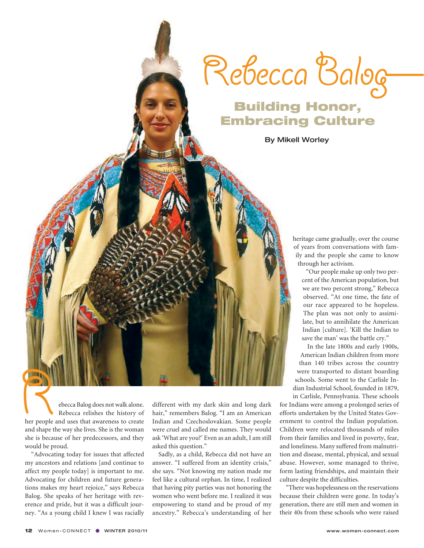

## Building Honor, Embracing Culture

By Mikell Worley

heritage came gradually, over the course of years from conversations with family and the people she came to know through her activism.

"Our people make up only two percent of the American population, but we are two percent strong," Rebecca observed. "At one time, the fate of our race appeared to be hopeless. The plan was not only to assimilate, but to annihilate the American Indian [culture]. 'Kill the Indian to save the man' was the battle cry."

In the late 1800s and early 1900s, American Indian children from more than 140 tribes across the country were transported to distant boarding schools. Some went to the Carlisle Indian Industrial School, founded in 1879, in Carlisle, Pennsylvania. These schools

for Indians were among a prolonged series of efforts undertaken by the United States Government to control the Indian population. Children were relocated thousands of miles from their families and lived in poverty, fear, and loneliness. Many suffered from malnutrition and disease, mental, physical, and sexual abuse. However, some managed to thrive, form lasting friendships, and maintain their culture despite the difficulties.

"There was hopelessness on the reservations because their children were gone. In today's generation, there are still men and women in their 40s from these schools who were raised

Rebecca Balog does not walk alone.<br>
Rebecca relishes the history of<br>
her people and uses that awareness to create<br>
and shape the way she lives. She is the woman Rebecca relishes the history of and shape the way she lives. She is the woman she is because of her predecessors, and they would be proud.

"Advocating today for issues that affected my ancestors and relations [and continue to affect my people today] is important to me. Advocating for children and future generations makes my heart rejoice," says Rebecca Balog. She speaks of her heritage with reverence and pride, but it was a difficult journey. "As a young child I knew I was racially

different with my dark skin and long dark hair," remembers Balog. "I am an American Indian and Czechoslovakian. Some people were cruel and called me names. They would ask 'What are you?' Even as an adult, I am still asked this question."

Sadly, as a child, Rebecca did not have an answer. "I suffered from an identity crisis," she says. "Not knowing my nation made me feel like a cultural orphan. In time, I realized that having pity parties was not honoring the women who went before me. I realized it was empowering to stand and be proud of my ancestry." Rebecca's understanding of her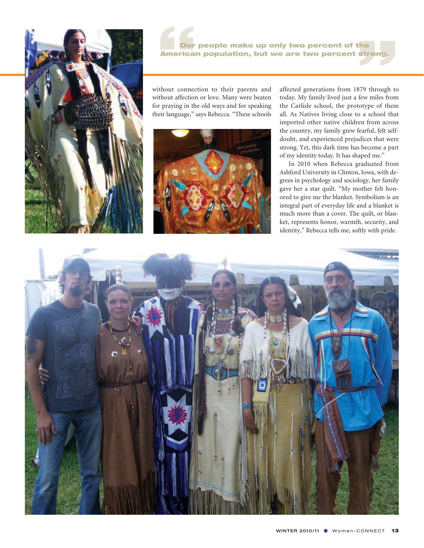

our people make up only two percent of the<br>American population, but we are two percent strong.<br>ithout connection to their parents and affected generations from 1879 through to Our people make up only two percent of the American population, but we are two percent strong.

without connection to their parents and without affection or love. Many were beaten for praying in the old ways and for speaking their language," says Rebecca. "These schools



affected generations from 1879 through to today. My family lived just a few miles from the Carlisle school, the prototype of them all. As Natives living close to a school that imported other native children from across the country, my family grew fearful, felt selfdoubt, and experienced prejudices that were strong. Yet, this dark time has become a part of my identity today. It has shaped me."

 In 2010 when Rebecca graduated from Ashford University in Clinton, Iowa, with degrees in psychology and sociology, her family gave her a star quilt. "My mother felt honored to give me the blanket. Symbolism is an integral part of everyday life and a blanket is much more than a cover. The quilt, or blanket, represents honor, warmth, security, and identity," Rebecca tells me, softly with pride.